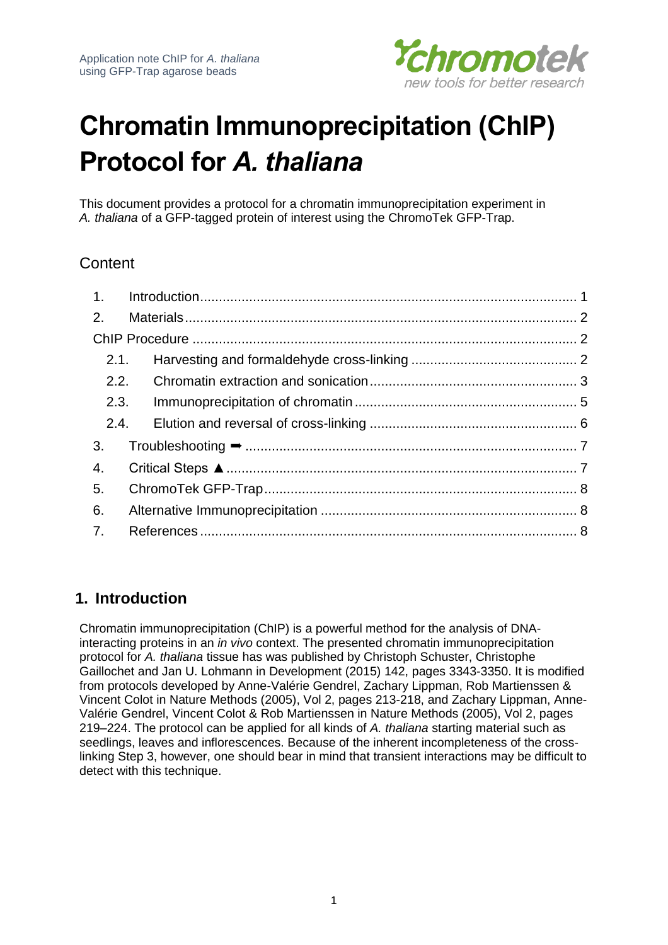

# **Chromatin Immunoprecipitation (ChIP) Protocol for** *A. thaliana*

This document provides a protocol for a chromatin immunoprecipitation experiment in *A. thaliana* of a GFP-tagged protein of interest using the ChromoTek GFP-Trap.

# **Content**

| 2.1. |  |
|------|--|
|      |  |
| 2.3. |  |
|      |  |
|      |  |
| 4.   |  |
| 5.   |  |
| 6.   |  |
| 7.   |  |

# <span id="page-0-0"></span>**1. Introduction**

Chromatin immunoprecipitation (ChIP) is a powerful method for the analysis of DNAinteracting proteins in an *in vivo* context. The presented chromatin immunoprecipitation protocol for *A. thaliana* tissue has was published by Christoph Schuster, Christophe Gaillochet and Jan U. Lohmann in Development (2015) 142, pages 3343-3350. It is modified from protocols developed by Anne-Valérie Gendrel, Zachary Lippman, Rob Martienssen & Vincent Colot in Nature Methods (2005), Vol 2, pages 213-218, and Zachary Lippman, Anne-Valérie Gendrel, Vincent Colot & Rob Martienssen in Nature Methods (2005), Vol 2, pages 219–224. The protocol can be applied for all kinds of *A. thaliana* starting material such as seedlings, leaves and inflorescences. Because of the inherent incompleteness of the crosslinking Step 3, however, one should bear in mind that transient interactions may be difficult to detect with this technique.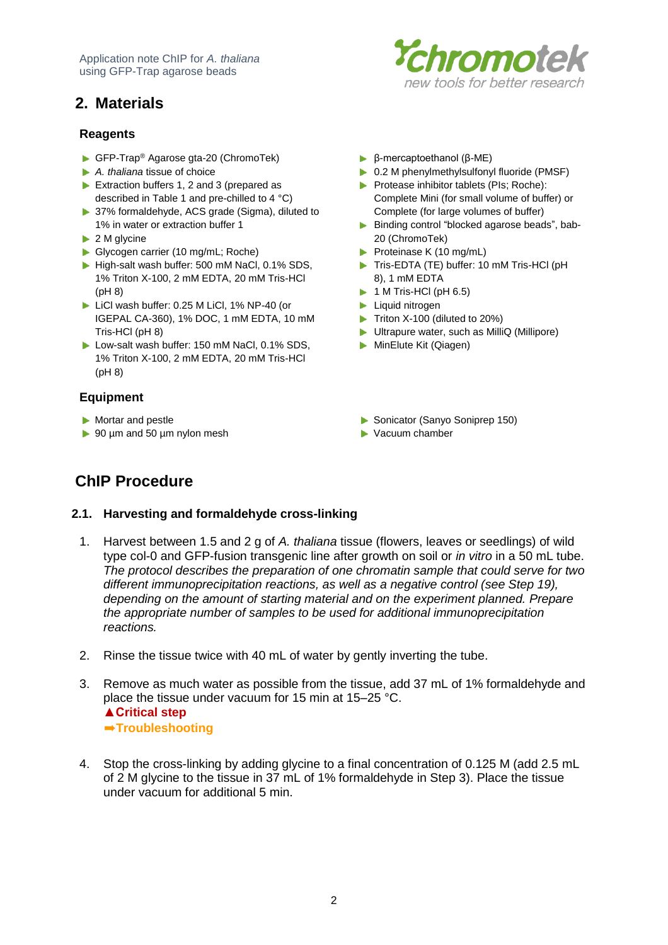Application note ChIP for *A. thaliana* using GFP-Trap agarose beads

# <span id="page-1-0"></span>**2. Materials**

# hromotek new tools for better research

#### **Reagents**

- ▶ GFP-Trap<sup>®</sup> Agarose gta-20 (ChromoTek)
- *A. thaliana* tissue of choice
- Extraction buffers 1, 2 and 3 (prepared as described in Table 1 and pre-chilled to 4 °C)
- ▶ 37% formaldehyde, ACS grade (Sigma), diluted to 1% in water or extraction buffer 1
- ▶ 2 M glycine
- Glycogen carrier (10 mg/mL; Roche)
- High-salt wash buffer: 500 mM NaCl, 0.1% SDS, 1% Triton X-100, 2 mM EDTA, 20 mM Tris-HCl (pH 8)
- LiCl wash buffer: 0.25 M LiCl, 1% NP-40 (or IGEPAL CA-360), 1% DOC, 1 mM EDTA, 10 mM Tris-HCl (pH 8)
- Low-salt wash buffer: 150 mM NaCl, 0.1% SDS, 1% Triton X-100, 2 mM EDTA, 20 mM Tris-HCl (pH 8)

### **Equipment**

- 
- ▶ 90 µm and 50 µm nylon mesh Vacuum chamber
- β-mercaptoethanol (β-ME)
- ▶ 0.2 M phenylmethylsulfonyl fluoride (PMSF)
- **Protease inhibitor tablets (PIs; Roche):** Complete Mini (for small volume of buffer) or Complete (for large volumes of buffer)
- Binding control "blocked agarose beads", bab-20 (ChromoTek)
- Proteinase K (10 mg/mL)
- Tris-EDTA (TE) buffer: 10 mM Tris-HCl (pH 8), 1 mM EDTA
- $\blacktriangleright$  1 M Tris-HCl (pH 6.5)
- **Liquid nitrogen**
- Triton X-100 (diluted to 20%)
- Ultrapure water, such as MilliQ (Millipore)
- MinElute Kit (Qiagen)
- ▶ Mortar and pestle Sonicator (Sanyo Soniprep 150)
	-

# <span id="page-1-1"></span>**ChIP Procedure**

#### <span id="page-1-2"></span>**2.1. Harvesting and formaldehyde cross-linking**

- 1. Harvest between 1.5 and 2 g of *A. thaliana* tissue (flowers, leaves or seedlings) of wild type col-0 and GFP-fusion transgenic line after growth on soil or *in vitro* in a 50 mL tube. *The protocol describes the preparation of one chromatin sample that could serve for two*  different immunoprecipitation reactions, as well as a negative control (see Step 19), *depending on the amount of starting material and on the experiment planned. Prepare the appropriate number of samples to be used for additional immunoprecipitation reactions.*
- 2. Rinse the tissue twice with 40 mL of water by gently inverting the tube.
- 3. Remove as much water as possible from the tissue, add 37 mL of 1% formaldehyde and place the tissue under vacuum for 15 min at 15–25 °C. **▲Critical step** ➨**Troubleshooting**
- 4. Stop the cross-linking by adding glycine to a final concentration of 0.125 M (add 2.5 mL of 2 M glycine to the tissue in 37 mL of 1% formaldehyde in Step 3). Place the tissue under vacuum for additional 5 min.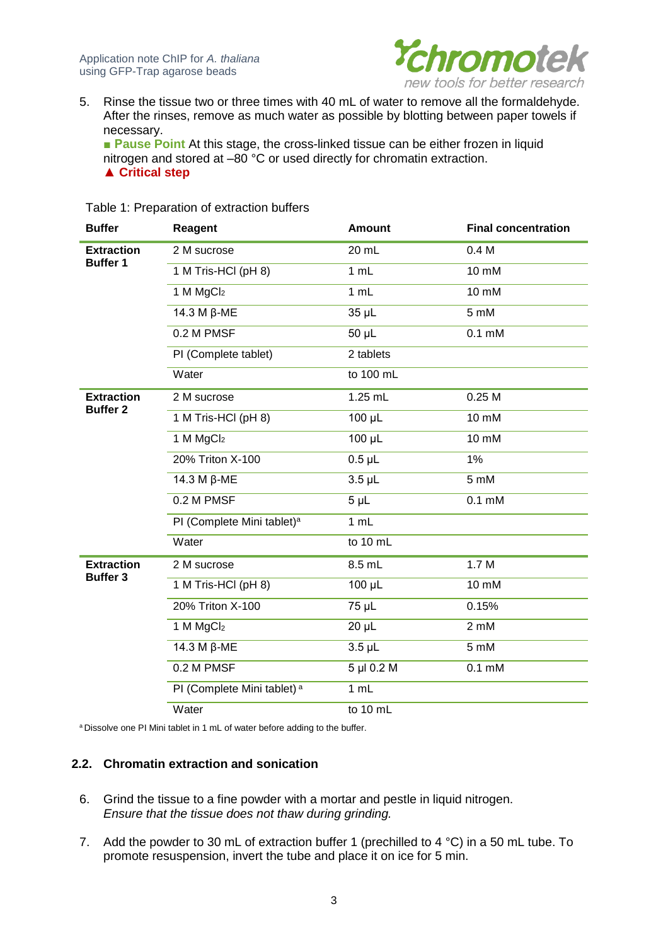

5. Rinse the tissue two or three times with 40 mL of water to remove all the formaldehyde. After the rinses, remove as much water as possible by blotting between paper towels if necessary.

■ Pause Point At this stage, the cross-linked tissue can be either frozen in liquid nitrogen and stored at  $-80$  °C or used directly for chromatin extraction. **▲ Critical step**

| <b>Buffer</b>     | <b>Reagent</b>                         | <b>Amount</b>   | <b>Final concentration</b> |
|-------------------|----------------------------------------|-----------------|----------------------------|
| <b>Extraction</b> | 2 M sucrose                            | 20 mL           | 0.4 <sub>M</sub>           |
| <b>Buffer 1</b>   | 1 M Tris-HCI (pH 8)                    | 1 mL            | 10 mM                      |
|                   | 1 M MgCl <sub>2</sub>                  | 1 mL            | 10 mM                      |
|                   | 14.3 M β-ME                            | 35 µL           | 5 mM                       |
|                   | 0.2 M PMSF                             | 50 µL           | $0.1 \text{ mM}$           |
|                   | PI (Complete tablet)                   | 2 tablets       |                            |
|                   | Water                                  | to 100 mL       |                            |
| <b>Extraction</b> | 2 M sucrose                            | 1.25 mL         | 0.25M                      |
| <b>Buffer 2</b>   | 1 M Tris-HCI (pH 8)                    | 100 µL          | 10 mM                      |
|                   | 1 M MgCl <sub>2</sub>                  | $100 \mu L$     | 10 mM                      |
|                   | 20% Triton X-100                       | $0.5$ µL        | 1%                         |
|                   | 14.3 M β-ME                            | $3.5$ $\mu$ L   | 5 mM                       |
|                   | 0.2 M PMSF                             | 5 <sub>µL</sub> | $0.1 \text{ mM}$           |
|                   | PI (Complete Mini tablet) <sup>a</sup> | 1 mL            |                            |
|                   | Water                                  | to 10 mL        |                            |
| <b>Extraction</b> | 2 M sucrose                            | 8.5 mL          | 1.7M                       |
| <b>Buffer 3</b>   | 1 M Tris-HCI (pH 8)                    | 100 µL          | 10 mM                      |
|                   | 20% Triton X-100                       | 75 µL           | 0.15%                      |
|                   | 1 M MgCl <sub>2</sub>                  | $20 \mu L$      | 2 mM                       |
|                   | 14.3 M β-ME                            | $3.5$ $\mu$ L   | 5 mM                       |
|                   | 0.2 M PMSF                             | 5 µl 0.2 M      | $0.1 \text{ mM}$           |
|                   | PI (Complete Mini tablet) <sup>a</sup> | 1 mL            |                            |
|                   | Water                                  | to 10 mL        |                            |

Table 1: Preparation of extraction buffers

<sup>a</sup> Dissolve one PI Mini tablet in 1 mL of water before adding to the buffer.

#### <span id="page-2-0"></span>**2.2. Chromatin extraction and sonication**

- 6. Grind the tissue to a fine powder with a mortar and pestle in liquid nitrogen. *Ensure that the tissue does not thaw during grinding.*
- 7. Add the powder to 30 mL of extraction buffer 1 (prechilled to 4 °C) in a 50 mL tube. To promote resuspension, invert the tube and place it on ice for 5 min.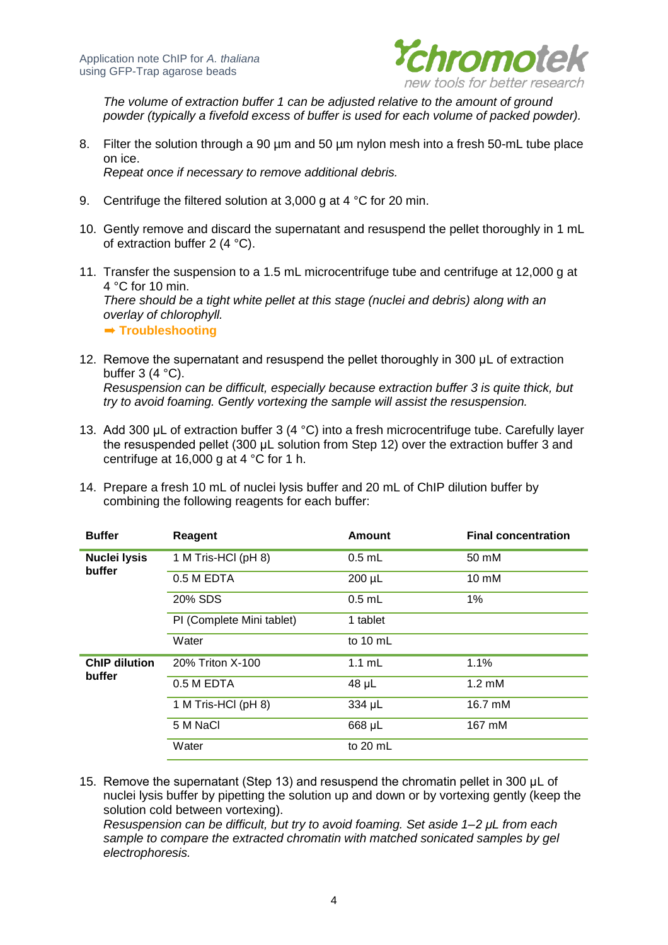

*The volume of extraction buffer 1 can be adjusted relative to the amount of ground powder (typically a fivefold excess of buffer is used for each volume of packed powder).*

- 8. Filter the solution through a 90 µm and 50 µm nylon mesh into a fresh 50-mL tube place on ice. *Repeat once if necessary to remove additional debris.*
- 9. Centrifuge the filtered solution at 3,000 g at 4 °C for 20 min.
- 10. Gently remove and discard the supernatant and resuspend the pellet thoroughly in 1 mL of extraction buffer 2 (4 °C).
- 11. Transfer the suspension to a 1.5 mL microcentrifuge tube and centrifuge at 12,000 g at 4 °C for 10 min. *There should be a tight white pellet at this stage (nuclei and debris) along with an overlay of chlorophyll.* ➨ **Troubleshooting**
- 12. Remove the supernatant and resuspend the pellet thoroughly in 300 μL of extraction buffer  $3(4 \degree C)$ . *Resuspension can be difficult, especially because extraction buffer 3 is quite thick, but try to avoid foaming. Gently vortexing the sample will assist the resuspension.*
- 13. Add 300 μL of extraction buffer 3 (4 °C) into a fresh microcentrifuge tube. Carefully layer the resuspended pellet (300 μL solution from Step 12) over the extraction buffer 3 and centrifuge at 16,000 g at 4 °C for 1 h.
- 14. Prepare a fresh 10 mL of nuclei lysis buffer and 20 mL of ChIP dilution buffer by combining the following reagents for each buffer:

| <b>Buffer</b>        | Reagent                   | Amount             | <b>Final concentration</b> |
|----------------------|---------------------------|--------------------|----------------------------|
| <b>Nuclei lysis</b>  | 1 M Tris-HCI (pH 8)       | $0.5$ mL           | 50 mM                      |
| buffer               | 0.5 M EDTA                | $200 \mu L$        | 10 mM                      |
|                      | 20% SDS                   | $0.5$ mL           | 1%                         |
|                      | PI (Complete Mini tablet) | 1 tablet           |                            |
|                      | Water                     | to $10 \text{ mL}$ |                            |
| <b>ChIP dilution</b> | 20% Triton X-100          | $1.1 \text{ mL}$   | 1.1%                       |
| buffer               | 0.5 M EDTA                | $48 \mu L$         | $1.2 \text{ }\mathrm{mM}$  |
|                      | 1 M Tris-HCI (pH 8)       | 334 µL             | 16.7 mM                    |
|                      | 5 M NaCl                  | 668 µL             | 167 mM                     |
|                      | Water                     | to 20 mL           |                            |

15. Remove the supernatant (Step 13) and resuspend the chromatin pellet in 300 μL of nuclei lysis buffer by pipetting the solution up and down or by vortexing gently (keep the solution cold between vortexing).

*Resuspension can be difficult, but try to avoid foaming. Set aside 1–2 μL from each* sample to compare the extracted chromatin with matched sonicated samples by gel *electrophoresis.*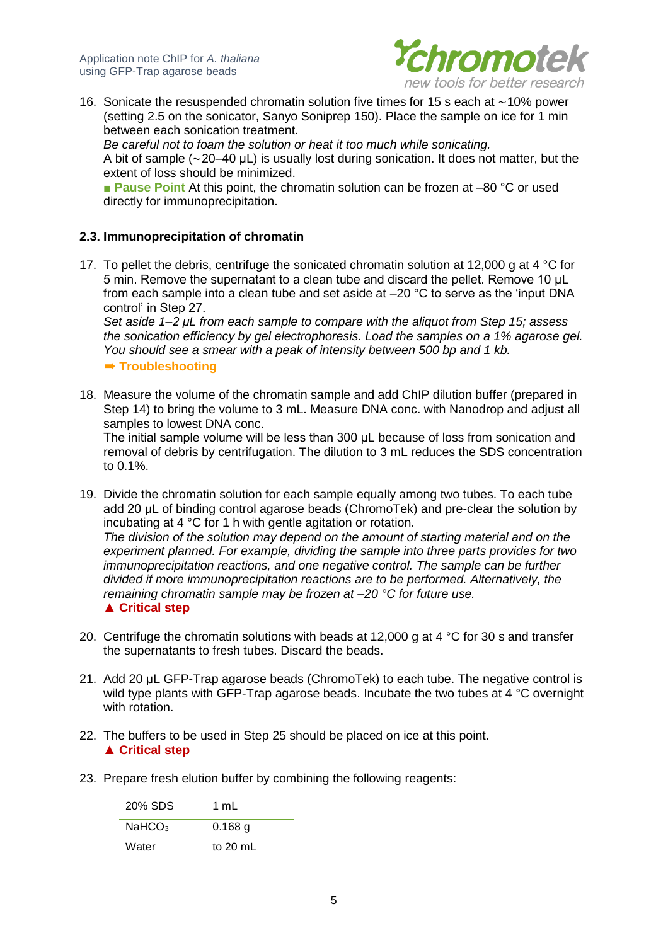

16. Sonicate the resuspended chromatin solution five times for 15 s each at ∼10% power (setting 2.5 on the sonicator, Sanyo Soniprep 150). Place the sample on ice for 1 min between each sonication treatment.

*Be careful not to foam the solution or heat it too much while sonicating.* A bit of sample (∼20–40 μL) is usually lost during sonication. It does not matter, but the extent of loss should be minimized.

■ **Pause Point** At this point, the chromatin solution can be frozen at –80 °C or used directly for immunoprecipitation.

#### <span id="page-4-0"></span>**2.3. Immunoprecipitation of chromatin**

17. To pellet the debris, centrifuge the sonicated chromatin solution at 12,000 g at 4 °C for 5 min. Remove the supernatant to a clean tube and discard the pellet. Remove 10 μL from each sample into a clean tube and set aside at –20 °C to serve as the 'input DNA control' in Step 27.

*Set aside 1–2 μL from each sample to compare with the aliquot from Step 15; assess the sonication efficiency by gel electrophoresis. Load the samples on a 1% agarose gel. You should see a smear with a peak of intensity between 500 bp and 1 kb.*

➨ **Troubleshooting**

18. Measure the volume of the chromatin sample and add ChIP dilution buffer (prepared in Step 14) to bring the volume to 3 mL. Measure DNA conc. with Nanodrop and adjust all samples to lowest DNA conc.

The initial sample volume will be less than 300 μL because of loss from sonication and removal of debris by centrifugation. The dilution to 3 mL reduces the SDS concentration to 0.1%.

19. Divide the chromatin solution for each sample equally among two tubes. To each tube add 20 μL of binding control agarose beads (ChromoTek) and pre-clear the solution by incubating at 4 °C for 1 h with gentle agitation or rotation. *The division of the solution may depend on the amount of starting material and on the experiment planned. For example, dividing the sample into three parts provides for two immunoprecipitation reactions, and one negative control. The sample can be further divided if more immunoprecipitation reactions are to be performed. Alternatively, the remaining chromatin sample may be frozen at –20 °C for future use.* **▲ Critical step**

- 20. Centrifuge the chromatin solutions with beads at 12,000 g at 4  $\degree$ C for 30 s and transfer the supernatants to fresh tubes. Discard the beads.
- 21. Add 20 μL GFP-Trap agarose beads (ChromoTek) to each tube. The negative control is wild type plants with GFP-Trap agarose beads. Incubate the two tubes at 4 °C overnight with rotation.
- 22. The buffers to be used in Step 25 should be placed on ice at this point. **▲ Critical step**
- 23. Prepare fresh elution buffer by combining the following reagents:

20% SDS 1 mL  $NaHCO<sub>3</sub>$  0.168 g Water to 20 mL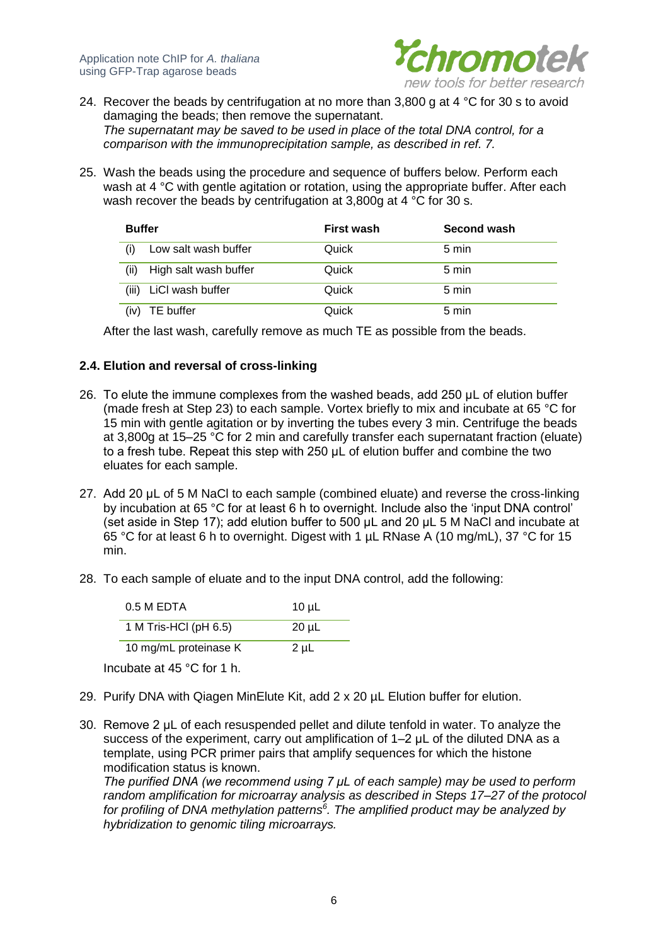

- 24. Recover the beads by centrifugation at no more than 3,800 g at 4  $^{\circ}$ C for 30 s to avoid damaging the beads; then remove the supernatant. *The supernatant may be saved to be used in place of the total DNA control, for a comparison with the immunoprecipitation sample, as described in ref. 7.*
- 25. Wash the beads using the procedure and sequence of buffers below. Perform each wash at 4 °C with gentle agitation or rotation, using the appropriate buffer. After each wash recover the beads by centrifugation at 3,800g at 4 °C for 30 s.

| <b>Buffer</b>                 | First wash | Second wash |
|-------------------------------|------------|-------------|
| Low salt wash buffer          | Quick      | 5 min       |
| High salt wash buffer<br>(ii) | Quick      | 5 min       |
| (iii)<br>LiCI wash buffer     | Quick      | 5 min       |
| TE buffer<br>(iv)             | Quick      | 5 min       |

After the last wash, carefully remove as much TE as possible from the beads.

#### <span id="page-5-0"></span>**2.4. Elution and reversal of cross-linking**

- 26. To elute the immune complexes from the washed beads, add 250 μL of elution buffer (made fresh at Step 23) to each sample. Vortex briefly to mix and incubate at 65 °C for 15 min with gentle agitation or by inverting the tubes every 3 min. Centrifuge the beads at 3,800g at 15–25 °C for 2 min and carefully transfer each supernatant fraction (eluate) to a fresh tube. Repeat this step with 250 μL of elution buffer and combine the two eluates for each sample.
- 27. Add 20 µL of 5 M NaCl to each sample (combined eluate) and reverse the cross-linking by incubation at 65 °C for at least 6 h to overnight. Include also the 'input DNA control' (set aside in Step 17); add elution buffer to 500 μL and 20 μL 5 M NaCl and incubate at 65 °C for at least 6 h to overnight. Digest with 1 µL RNase A (10 mg/mL), 37 °C for 15 min.
- 28. To each sample of eluate and to the input DNA control, add the following:

| 0.5 M EDTA            | $10 \mu L$ |
|-----------------------|------------|
| 1 M Tris-HCI (pH 6.5) | 20 µL      |
| 10 mg/mL proteinase K | $2 \mu L$  |

Incubate at 45 °C for 1 h.

- 29. Purify DNA with Qiagen MinElute Kit, add 2 x 20 µL Elution buffer for elution.
- 30. Remove 2 μL of each resuspended pellet and dilute tenfold in water. To analyze the success of the experiment, carry out amplification of 1–2 μL of the diluted DNA as a template, using PCR primer pairs that amplify sequences for which the histone modification status is known.

*The purified DNA (we recommend using 7 μL of each sample) may be used to perform random amplification for microarray analysis as described in Steps 17–27 of the protocol for profiling of DNA methylation patterns<sup>6</sup> . The amplified product may be analyzed by hybridization to genomic tiling microarrays.*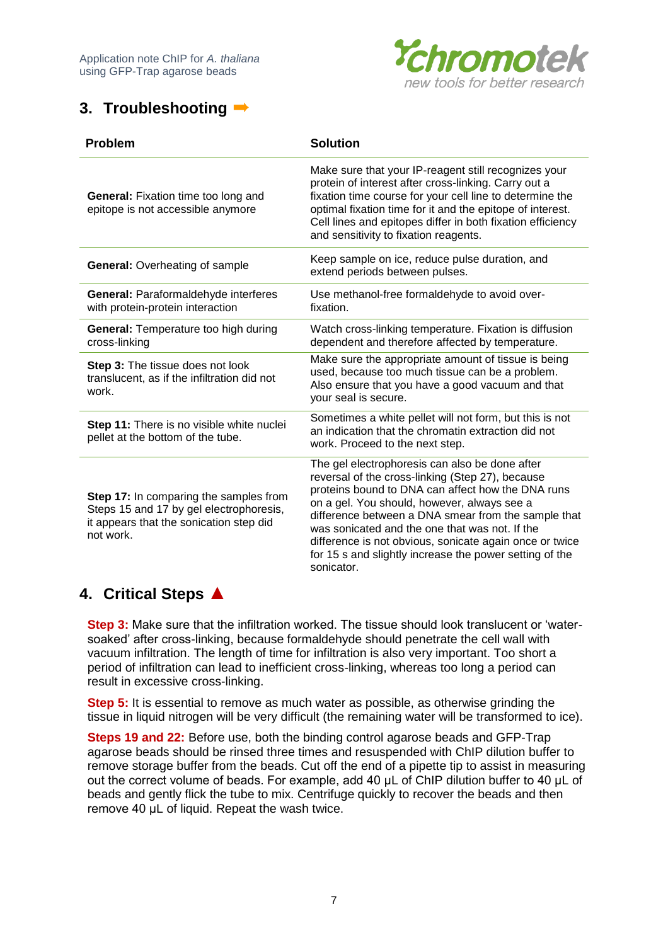

# <span id="page-6-0"></span>**3. Troubleshooting** ➨

| <b>Problem</b>                                                                                                                            | <b>Solution</b>                                                                                                                                                                                                                                                                                                                                                                                                                                     |  |
|-------------------------------------------------------------------------------------------------------------------------------------------|-----------------------------------------------------------------------------------------------------------------------------------------------------------------------------------------------------------------------------------------------------------------------------------------------------------------------------------------------------------------------------------------------------------------------------------------------------|--|
| General: Fixation time too long and<br>epitope is not accessible anymore                                                                  | Make sure that your IP-reagent still recognizes your<br>protein of interest after cross-linking. Carry out a<br>fixation time course for your cell line to determine the<br>optimal fixation time for it and the epitope of interest.<br>Cell lines and epitopes differ in both fixation efficiency<br>and sensitivity to fixation reagents.                                                                                                        |  |
| <b>General: Overheating of sample</b>                                                                                                     | Keep sample on ice, reduce pulse duration, and<br>extend periods between pulses.                                                                                                                                                                                                                                                                                                                                                                    |  |
| General: Paraformaldehyde interferes<br>with protein-protein interaction                                                                  | Use methanol-free formaldehyde to avoid over-<br>fixation.                                                                                                                                                                                                                                                                                                                                                                                          |  |
| <b>General:</b> Temperature too high during<br>cross-linking                                                                              | Watch cross-linking temperature. Fixation is diffusion<br>dependent and therefore affected by temperature.                                                                                                                                                                                                                                                                                                                                          |  |
| <b>Step 3:</b> The tissue does not look<br>translucent, as if the infiltration did not<br>work.                                           | Make sure the appropriate amount of tissue is being<br>used, because too much tissue can be a problem.<br>Also ensure that you have a good vacuum and that<br>your seal is secure.                                                                                                                                                                                                                                                                  |  |
| <b>Step 11:</b> There is no visible white nuclei<br>pellet at the bottom of the tube.                                                     | Sometimes a white pellet will not form, but this is not<br>an indication that the chromatin extraction did not<br>work. Proceed to the next step.                                                                                                                                                                                                                                                                                                   |  |
| Step 17: In comparing the samples from<br>Steps 15 and 17 by gel electrophoresis,<br>it appears that the sonication step did<br>not work. | The gel electrophoresis can also be done after<br>reversal of the cross-linking (Step 27), because<br>proteins bound to DNA can affect how the DNA runs<br>on a gel. You should, however, always see a<br>difference between a DNA smear from the sample that<br>was sonicated and the one that was not. If the<br>difference is not obvious, sonicate again once or twice<br>for 15 s and slightly increase the power setting of the<br>sonicator. |  |

# <span id="page-6-1"></span>**4. Critical Steps ▲**

**Step 3:** Make sure that the infiltration worked. The tissue should look translucent or 'watersoaked' after cross-linking, because formaldehyde should penetrate the cell wall with vacuum infiltration. The length of time for infiltration is also very important. Too short a period of infiltration can lead to inefficient cross-linking, whereas too long a period can result in excessive cross-linking.

**Step 5:** It is essential to remove as much water as possible, as otherwise grinding the tissue in liquid nitrogen will be very difficult (the remaining water will be transformed to ice).

**Steps 19 and 22:** Before use, both the binding control agarose beads and GFP-Trap agarose beads should be rinsed three times and resuspended with ChIP dilution buffer to remove storage buffer from the beads. Cut off the end of a pipette tip to assist in measuring out the correct volume of beads. For example, add 40 μL of ChIP dilution buffer to 40 μL of beads and gently flick the tube to mix. Centrifuge quickly to recover the beads and then remove 40 μL of liquid. Repeat the wash twice.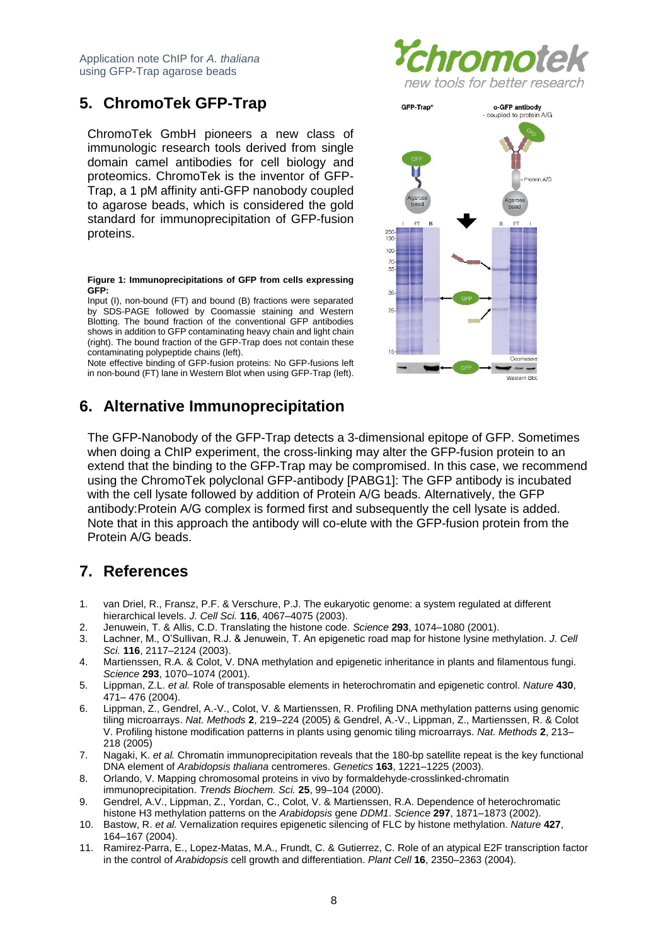# <span id="page-7-0"></span>**5. ChromoTek GFP-Trap**

ChromoTek GmbH pioneers a new class of immunologic research tools derived from single domain camel antibodies for cell biology and proteomics. ChromoTek is the inventor of GFP-Trap, a 1 pM affinity anti-GFP nanobody coupled to agarose beads, which is considered the gold standard for immunoprecipitation of GFP-fusion proteins.

**Figure 1: Immunoprecipitations of GFP from cells expressing GFP:**

Input (I), non-bound (FT) and bound (B) fractions were separated by SDS-PAGE followed by Coomassie staining and Western Blotting. The bound fraction of the conventional GFP antibodies shows in addition to GFP contaminating heavy chain and light chain (right). The bound fraction of the GFP-Trap does not contain these contaminating polypeptide chains (left).

Note effective binding of GFP-fusion proteins: No GFP-fusions left in non-bound (FT) lane in Western Blot when using GFP-Trap (left).

# <span id="page-7-1"></span>**6. Alternative Immunoprecipitation**





The GFP-Nanobody of the GFP-Trap detects a 3-dimensional epitope of GFP. Sometimes when doing a ChIP experiment, the cross-linking may alter the GFP-fusion protein to an extend that the binding to the GFP-Trap may be compromised. In this case, we recommend using the ChromoTek polyclonal GFP-antibody [PABG1]: The GFP antibody is incubated with the cell lysate followed by addition of Protein A/G beads. Alternatively, the GFP antibody:Protein A/G complex is formed first and subsequently the cell lysate is added. Note that in this approach the antibody will co-elute with the GFP-fusion protein from the Protein A/G beads.

# <span id="page-7-2"></span>**7. References**

- 1. van Driel, R., Fransz, P.F. & Verschure, P.J. The eukaryotic genome: a system regulated at different hierarchical levels. *J. Cell Sci.* **116**, 4067–4075 (2003).
- 2. Jenuwein, T. & Allis, C.D. Translating the histone code. *Science* **293**, 1074–1080 (2001).
- 3. Lachner, M., O'Sullivan, R.J. & Jenuwein, T. An epigenetic road map for histone lysine methylation. *J. Cell Sci.* **116**, 2117–2124 (2003).
- 4. Martienssen, R.A. & Colot, V. DNA methylation and epigenetic inheritance in plants and filamentous fungi. *Science* **293**, 1070–1074 (2001).
- 5. Lippman, Z.L. *et al.* Role of transposable elements in heterochromatin and epigenetic control. *Nature* **430**, 471– 476 (2004).
- 6. Lippman, Z., Gendrel, A.-V., Colot, V. & Martienssen, R. Profiling DNA methylation patterns using genomic tiling microarrays. *Nat. Methods* **2**, 219–224 (2005) & Gendrel, A.-V., Lippman, Z., Martienssen, R. & Colot V. Profiling histone modification patterns in plants using genomic tiling microarrays. *Nat. Methods* **2**, 213– 218 (2005)
- 7. Nagaki, K. *et al.* Chromatin immunoprecipitation reveals that the 180-bp satellite repeat is the key functional DNA element of *Arabidopsis thaliana* centromeres. *Genetics* **163**, 1221–1225 (2003).
- 8. Orlando, V. Mapping chromosomal proteins in vivo by formaldehyde-crosslinked-chromatin immunoprecipitation. *Trends Biochem. Sci.* **25**, 99–104 (2000).
- 9. Gendrel, A.V., Lippman, Z., Yordan, C., Colot, V. & Martienssen, R.A. Dependence of heterochromatic histone H3 methylation patterns on the *Arabidopsis* gene *DDM1*. *Science* **297**, 1871–1873 (2002).
- 10. Bastow, R. *et al.* Vernalization requires epigenetic silencing of FLC by histone methylation. *Nature* **427**, 164–167 (2004).
- 11. Ramirez-Parra, E., Lopez-Matas, M.A., Frundt, C. & Gutierrez, C. Role of an atypical E2F transcription factor in the control of *Arabidopsis* cell growth and differentiation. *Plant Cell* **16**, 2350–2363 (2004).